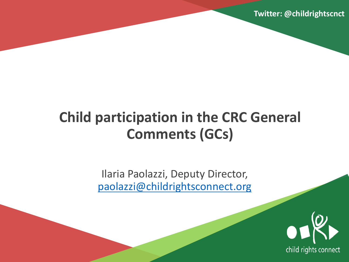**Twitter: @childrightscnct**

# **Child participation in the CRC General Comments (GCs)**

Ilaria Paolazzi, Deputy Director, [paolazzi@childrightsconnect.org](mailto:paolazzi@childrightsconnect.org)

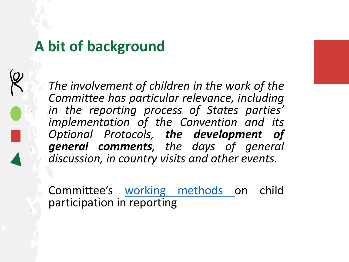#### **A bit of background**

*The involvement of children in the work of the Committee has particular relevance, including in the reporting process of States parties' implementation of the Convention and its Optional Protocols, the development of general comments, the days of general discussion, in country visits and other events.*

Committee's working [methods](https://documents-dds-ny.un.org/doc/UNDOC/GEN/G14/186/56/PDF/G1418656.pdf?OpenElement) on child participation in reporting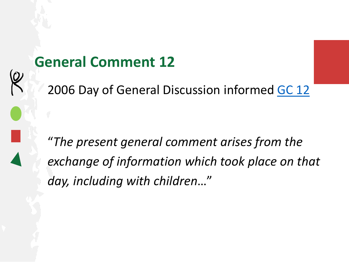#### **General Comment 12**

2006 Day of General Discussion informed [GC 12](https://tbinternet.ohchr.org/_layouts/15/treatybodyexternal/Download.aspx?symbolno=CRC%2fC%2fGC%2f12&Lang=en)

"*The present general comment arises from the exchange of information which took place on that day, including with children*…"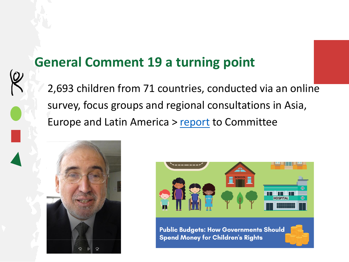#### **General Comment 19 a turning point**

2,693 children from 71 countries, conducted via an online survey, focus groups and regional consultations in Asia, Europe and Latin America > [report](https://pure.qub.ac.uk/en/publications/towards-better-investment-in-the-rights-of-the-child-the-views-of) to Committee





**Public Budgets: How Governments Should Spend Money for Children's Rights** 

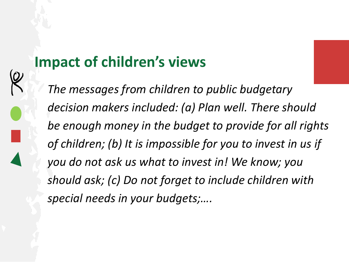## **Impact of children's views**

*The messages from children to public budgetary decision makers included: (a) Plan well. There should be enough money in the budget to provide for all rights of children; (b) It is impossible for you to invest in us if you do not ask us what to invest in! We know; you should ask; (c) Do not forget to include children with special needs in your budgets;….*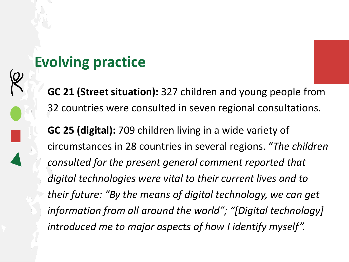#### **Evolving practice**

**GC 21 (Street situation):** 327 children and young people from 32 countries were consulted in seven regional consultations.

**GC 25 (digital):** 709 children living in a wide variety of circumstances in 28 countries in several regions. *"The children consulted for the present general comment reported that digital technologies were vital to their current lives and to their future: "By the means of digital technology, we can get information from all around the world"; "[Digital technology] introduced me to major aspects of how I identify myself".*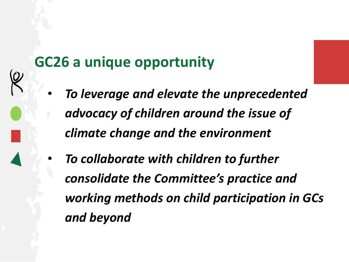#### **GC26 a unique opportunity**

- *To leverage and elevate the unprecedented advocacy of children around the issue of climate change and the environment*
- *To collaborate with children to further consolidate the Committee's practice and working methods on child participation in GCs and beyond*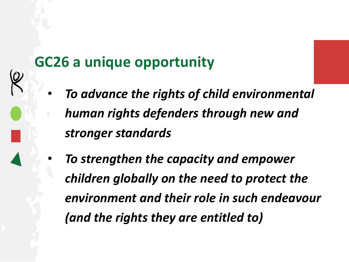#### **GC26 a unique opportunity**

- *To advance the rights of child environmental human rights defenders through new and stronger standards*
- *To strengthen the capacity and empower children globally on the need to protect the environment and their role in such endeavour (and the rights they are entitled to)*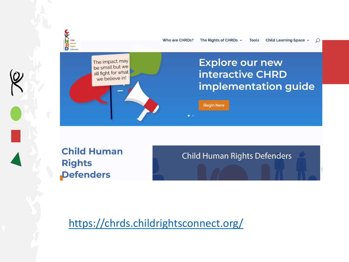

Who are CHRDs? The Rights of CHRDs  $\sim$ Child Learning Space v **Tools** 

 $\Omega$ 



**Child Human Rights Defenders** 

**Child Human Rights Defenders** 

<https://chrds.childrightsconnect.org/>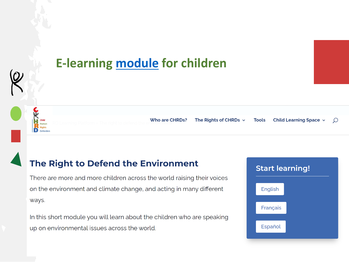

#### The Right to Defend the Environment

There are more and more children across the world raising their voices on the environment and climate change, and acting in many different ways.

In this short module you will learn about the children who are speaking up on environmental issues across the world.